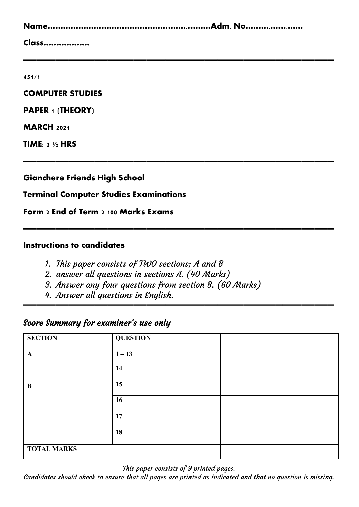| Class |  |
|-------|--|

**————————————————————————————————————————————————**

**————————————————————————————————————————————————**

**————————————————————————————————————————————————**

**————————————————————————————————————————————————**

**451/1**

**COMPUTER STUDIES**

**PAPER 1 (THEORY)**

**MARCH 2021**

**TIME: 2 ½ HRS** 

**Gianchere Friends High School**

#### **Terminal Computer Studies Examinations**

**Form 2 End of Term 2 100 Marks Exams**

#### **Instructions to candidates**

- 1. This paper consists of TWO sections; A and B
- 2. answer all questions in sections A. (40 Marks)
- 3. Answer any four questions from section B. (60 Marks)
- 4. Answer all questions in English.

## Score Summary for examiner's use only

| <b>SECTION</b>     | <b>QUESTION</b> |  |
|--------------------|-----------------|--|
| $\mathbf{A}$       | $1 - 13$        |  |
|                    | 14              |  |
| B                  | 15              |  |
|                    | 16              |  |
|                    | 17              |  |
|                    | 18              |  |
| <b>TOTAL MARKS</b> |                 |  |

This paper consists of 9 printed pages.

Candidates should check to ensure that all pages are printed as indicated and that no question is missing.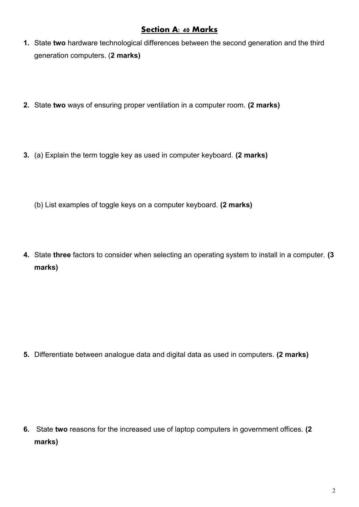## **Section A: 40 Marks**

- **1.** State **two** hardware technological differences between the second generation and the third generation computers. (**2 marks)**
- **2.** State **two** ways of ensuring proper ventilation in a computer room. **(2 marks)**
- **3.** (a) Explain the term toggle key as used in computer keyboard. **(2 marks)**
	- (b) List examples of toggle keys on a computer keyboard. **(2 marks)**
- **4.** State **three** factors to consider when selecting an operating system to install in a computer. **(3 marks)**

**5.** Differentiate between analogue data and digital data as used in computers. **(2 marks)**

**6.** State **two** reasons for the increased use of laptop computers in government offices. **(2 marks)**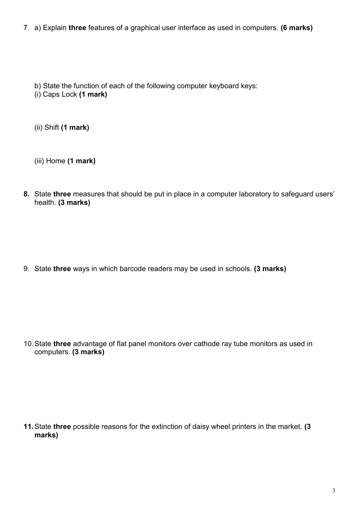7. a) Explain **three** features of a graphical user interface as used in computers. **(6 marks)**

b) State the function of each of the following computer keyboard keys:

(i) Caps Lock **(1 mark)**

(ii) Shift **(1 mark)**

(iii) Home **(1 mark)**

**8.** State **three** measures that should be put in place in a computer laboratory to safeguard users' health. **(3 marks)**

9. State **three** ways in which barcode readers may be used in schools. **(3 marks)**

10.State **three** advantage of flat panel monitors over cathode ray tube monitors as used in computers. **(3 marks)**

**11.**State **three** possible reasons for the extinction of daisy wheel printers in the market. **(3 marks)**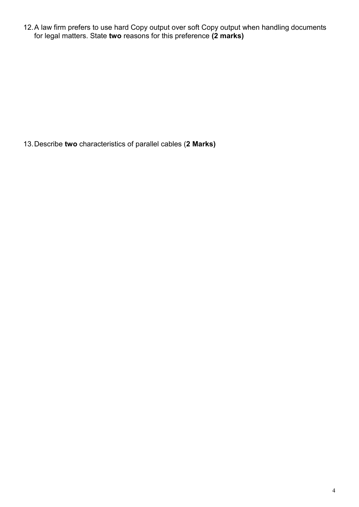12.A law firm prefers to use hard Copy output over soft Copy output when handling documents for legal matters. State **two** reasons for this preference **(2 marks)**

13.Describe **two** characteristics of parallel cables (**2 Marks)**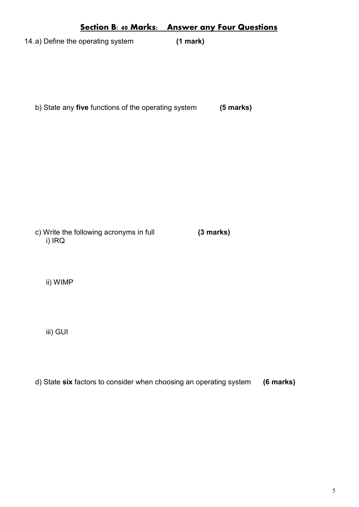# **Section B: 40 Marks: Answer any Four Questions** 14.a) Define the operating system **(1 mark)**

b) State any **five** functions of the operating system **(5 marks)**

c) Write the following acronyms in full **(3 marks)** i) IRQ

ii) WIMP

iii) GUI

d) State **six** factors to consider when choosing an operating system **(6 marks)**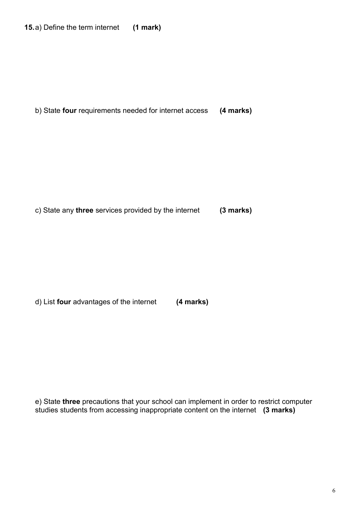**15.**a) Define the term internet **(1 mark)**

b) State **four** requirements needed for internet access **(4 marks)**

c) State any **three** services provided by the internet **(3 marks)**

d) List **four** advantages of the internet **(4 marks)** 

e) State **three** precautions that your school can implement in order to restrict computer studies students from accessing inappropriate content on the internet **(3 marks)**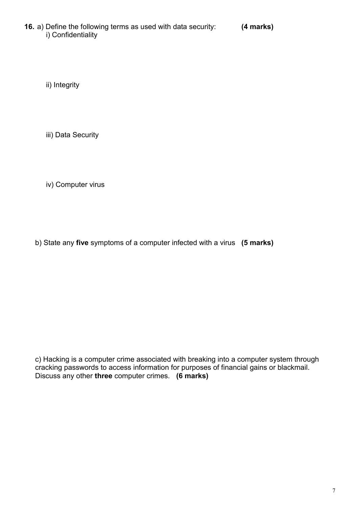**16.** a) Define the following terms as used with data security: **(4 marks)** i) Confidentiality

ii) Integrity

iii) Data Security

iv) Computer virus

b) State any **five** symptoms of a computer infected with a virus **(5 marks)**

c) Hacking is a computer crime associated with breaking into a computer system through cracking passwords to access information for purposes of financial gains or blackmail. Discuss any other **three** computer crimes. **(6 marks)**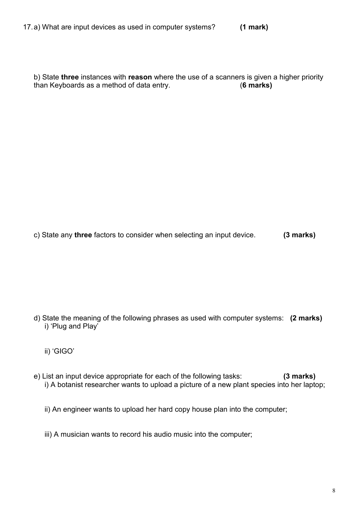b) State **three** instances with **reason** where the use of a scanners is given a higher priority than Keyboards as a method of data entry. (**6 marks)**

c) State any **three** factors to consider when selecting an input device. **(3 marks)**

- d) State the meaning of the following phrases as used with computer systems: **(2 marks)** i) 'Plug and Play'
	- ii) 'GIGO'
- e) List an input device appropriate for each of the following tasks: **(3 marks)** i) A botanist researcher wants to upload a picture of a new plant species into her laptop;

ii) An engineer wants to upload her hard copy house plan into the computer;

iii) A musician wants to record his audio music into the computer;